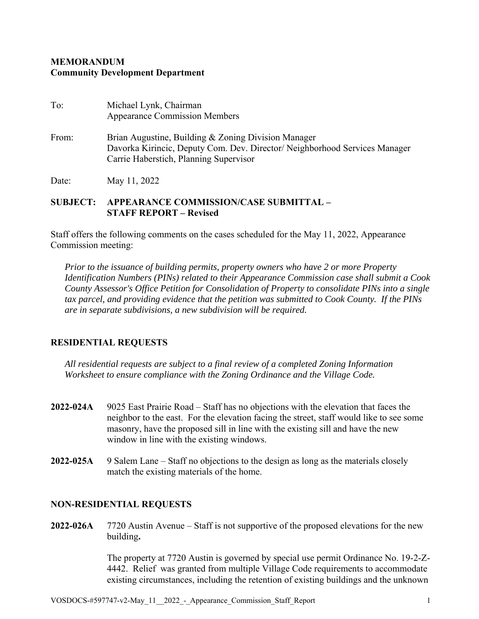## **MEMORANDUM Community Development Department**

| To:   | Michael Lynk, Chairman<br><b>Appearance Commission Members</b>                                                                                                              |
|-------|-----------------------------------------------------------------------------------------------------------------------------------------------------------------------------|
| From: | Brian Augustine, Building & Zoning Division Manager<br>Davorka Kirincic, Deputy Com. Dev. Director/ Neighborhood Services Manager<br>Carrie Haberstich, Planning Supervisor |
| Date: | May 11, 2022                                                                                                                                                                |

## **SUBJECT: APPEARANCE COMMISSION/CASE SUBMITTAL – STAFF REPORT – Revised**

Staff offers the following comments on the cases scheduled for the May 11, 2022, Appearance Commission meeting:

*Prior to the issuance of building permits, property owners who have 2 or more Property Identification Numbers (PINs) related to their Appearance Commission case shall submit a Cook County Assessor's Office Petition for Consolidation of Property to consolidate PINs into a single tax parcel, and providing evidence that the petition was submitted to Cook County. If the PINs are in separate subdivisions, a new subdivision will be required.* 

## **RESIDENTIAL REQUESTS**

*All residential requests are subject to a final review of a completed Zoning Information Worksheet to ensure compliance with the Zoning Ordinance and the Village Code.*

- **2022-024A** 9025 East Prairie Road Staff has no objections with the elevation that faces the neighbor to the east. For the elevation facing the street, staff would like to see some masonry, have the proposed sill in line with the existing sill and have the new window in line with the existing windows.
- **2022-025A** 9 Salem Lane Staff no objections to the design as long as the materials closely match the existing materials of the home.

## **NON-RESIDENTIAL REQUESTS**

**2022-026A** 7720 Austin Avenue – Staff is not supportive of the proposed elevations for the new building**.** 

> The property at 7720 Austin is governed by special use permit Ordinance No. 19-2-Z- 4442. Relief was granted from multiple Village Code requirements to accommodate existing circumstances, including the retention of existing buildings and the unknown